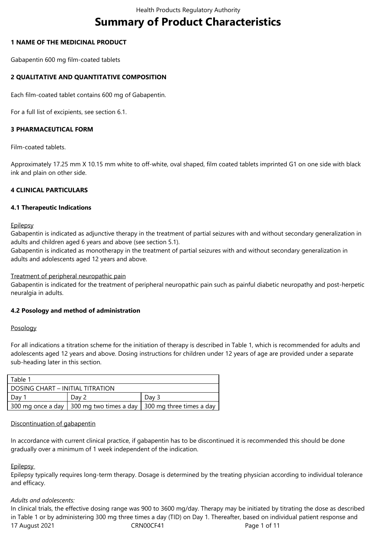# **Summary of Product Characteristics**

## **1 NAME OF THE MEDICINAL PRODUCT**

Gabapentin 600 mg film-coated tablets

## **2 QUALITATIVE AND QUANTITATIVE COMPOSITION**

Each film-coated tablet contains 600 mg of Gabapentin.

For a full list of excipients, see section 6.1.

#### **3 PHARMACEUTICAL FORM**

Film-coated tablets.

Approximately 17.25 mm X 10.15 mm white to off-white, oval shaped, film coated tablets imprinted G1 on one side with black ink and plain on other side.

## **4 CLINICAL PARTICULARS**

#### **4.1 Therapeutic Indications**

**Epilepsy** 

Gabapentin is indicated as adjunctive therapy in the treatment of partial seizures with and without secondary generalization in adults and children aged 6 years and above (see section 5.1).

Gabapentin is indicated as monotherapy in the treatment of partial seizures with and without secondary generalization in adults and adolescents aged 12 years and above.

#### Treatment of peripheral neuropathic pain

Gabapentin is indicated for the treatment of peripheral neuropathic pain such as painful diabetic neuropathy and post-herpetic neuralgia in adults.

#### **4.2 Posology and method of administration**

#### Posology

For all indications a titration scheme for the initiation of therapy is described in Table 1, which is recommended for adults and adolescents aged 12 years and above. Dosing instructions for children under 12 years of age are provided under a separate sub-heading later in this section.

| Table 1                          |       |                                                                       |  |  |  |  |  |
|----------------------------------|-------|-----------------------------------------------------------------------|--|--|--|--|--|
| DOSING CHART – INITIAL TITRATION |       |                                                                       |  |  |  |  |  |
| Day                              | Dav 2 | Dav 3                                                                 |  |  |  |  |  |
|                                  |       | 300 mg once a day   300 mg two times a day   300 mg three times a day |  |  |  |  |  |

#### Discontinuation of gabapentin

In accordance with current clinical practice, if gabapentin has to be discontinued it is recommended this should be done gradually over a minimum of 1 week independent of the indication.

#### **Epilepsy**

Epilepsy typically requires long-term therapy. Dosage is determined by the treating physician according to individual tolerance and efficacy.

#### *Adults and adolescents:*

17 August 2021 **CRN00CF41** CRN00CF41 **Page 1 of 11** In clinical trials, the effective dosing range was 900 to 3600 mg/day. Therapy may be initiated by titrating the dose as described in Table 1 or by administering 300 mg three times a day (TID) on Day 1. Thereafter, based on individual patient response and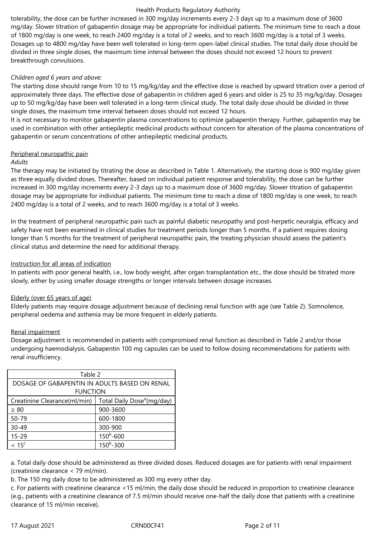tolerability, the dose can be further increased in 300 mg/day increments every 2-3 days up to a maximum dose of 3600 mg/day. Slower titration of gabapentin dosage may be appropriate for individual patients. The minimum time to reach a dose of 1800 mg/day is one week, to reach 2400 mg/day is a total of 2 weeks, and to reach 3600 mg/day is a total of 3 weeks. Dosages up to 4800 mg/day have been well tolerated in long-term open-label clinical studies. The total daily dose should be divided in three single doses, the maximum time interval between the doses should not exceed 12 hours to prevent breakthrough convulsions.

## *Children aged 6 years and above:*

The starting dose should range from 10 to 15 mg/kg/day and the effective dose is reached by upward titration over a period of approximately three days. The effective dose of gabapentin in children aged 6 years and older is 25 to 35 mg/kg/day. Dosages up to 50 mg/kg/day have been well tolerated in a long-term clinical study. The total daily dose should be divided in three single doses, the maximum time interval between doses should not exceed 12 hours.

It is not necessary to monitor gabapentin plasma concentrations to optimize gabapentin therapy. Further, gabapentin may be used in combination with other antiepileptic medicinal products without concern for alteration of the plasma concentrations of gabapentin or serum concentrations of other antiepileptic medicinal products.

## Peripheral neuropathic pain

#### *Adults*

The therapy may be initiated by titrating the dose as described in Table 1. Alternatively, the starting dose is 900 mg/day given as three equally divided doses. Thereafter, based on individual patient response and tolerability, the dose can be further increased in 300 mg/day increments every 2-3 days up to a maximum dose of 3600 mg/day. Slower titration of gabapentin dosage may be appropriate for individual patients. The minimum time to reach a dose of 1800 mg/day is one week, to reach 2400 mg/day is a total of 2 weeks, and to reach 3600 mg/day is a total of 3 weeks.

In the treatment of peripheral neuropathic pain such as painful diabetic neuropathy and post-herpetic neuralgia, efficacy and safety have not been examined in clinical studies for treatment periods longer than 5 months. If a patient requires dosing longer than 5 months for the treatment of peripheral neuropathic pain, the treating physician should assess the patient's clinical status and determine the need for additional therapy.

## Instruction for all areas of indication

In patients with poor general health, i.e., low body weight, after organ transplantation etc., the dose should be titrated more slowly, either by using smaller dosage strengths or longer intervals between dosage increases.

## Elderly (over 65 years of age)

Elderly patients may require dosage adjustment because of declining renal function with age (see Table 2). Somnolence, peripheral oedema and asthenia may be more frequent in elderly patients.

## Renal impairment

Dosage adjustment is recommended in patients with compromised renal function as described in Table 2 and/or those undergoing haemodialysis. Gabapentin 100 mg capsules can be used to follow dosing recommendations for patients with renal insufficiency.

| Table 2                                       |                                        |  |  |  |  |  |
|-----------------------------------------------|----------------------------------------|--|--|--|--|--|
| DOSAGE OF GABAPENTIN IN ADULTS BASED ON RENAL |                                        |  |  |  |  |  |
| <b>FUNCTION</b>                               |                                        |  |  |  |  |  |
| Creatinine Clearance(ml/min)                  | Total Daily Dose <sup>a</sup> (mg/day) |  |  |  |  |  |
| $\geq 80$                                     | 900-3600                               |  |  |  |  |  |
| 50-79                                         | 600-1800                               |  |  |  |  |  |
| $30 - 49$                                     | 300-900                                |  |  |  |  |  |
| $15 - 29$                                     | $150^b - 600$                          |  |  |  |  |  |
| < 15 <sup>c</sup>                             | $150^b - 300$                          |  |  |  |  |  |

a. Total daily dose should be administered as three divided doses. Reduced dosages are for patients with renal impairment (creatinine clearance < 79 ml/min).

b. The 150 mg daily dose to be administered as 300 mg every other day.

c. For patients with creatinine clearance <15 ml/min, the daily dose should be reduced in proportion to creatinine clearance (e.g., patients with a creatinine clearance of 7.5 ml/min should receive one-half the daily dose that patients with a creatinine clearance of 15 ml/min receive).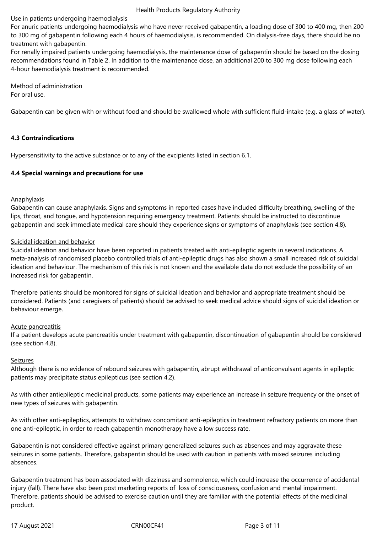## Use in patients undergoing haemodialysis

For anuric patients undergoing haemodialysis who have never received gabapentin, a loading dose of 300 to 400 mg, then 200 to 300 mg of gabapentin following each 4 hours of haemodialysis, is recommended. On dialysis-free days, there should be no treatment with gabapentin.

For renally impaired patients undergoing haemodialysis, the maintenance dose of gabapentin should be based on the dosing recommendations found in Table 2. In addition to the maintenance dose, an additional 200 to 300 mg dose following each 4-hour haemodialysis treatment is recommended.

Method of administration For oral use.

Gabapentin can be given with or without food and should be swallowed whole with sufficient fluid-intake (e.g. a glass of water).

## **4.3 Contraindications**

Hypersensitivity to the active substance or to any of the excipients listed in section 6.1.

#### **4.4 Special warnings and precautions for use**

#### Anaphylaxis

Gabapentin can cause anaphylaxis. Signs and symptoms in reported cases have included difficulty breathing, swelling of the lips, throat, and tongue, and hypotension requiring emergency treatment. Patients should be instructed to discontinue gabapentin and seek immediate medical care should they experience signs or symptoms of anaphylaxis (see section 4.8).

#### Suicidal ideation and behavior

Suicidal ideation and behavior have been reported in patients treated with anti-epileptic agents in several indications. A meta-analysis of randomised placebo controlled trials of anti-epileptic drugs has also shown a small increased risk of suicidal ideation and behaviour. The mechanism of this risk is not known and the available data do not exclude the possibility of an increased risk for gabapentin.

Therefore patients should be monitored for signs of suicidal ideation and behavior and appropriate treatment should be considered. Patients (and caregivers of patients) should be advised to seek medical advice should signs of suicidal ideation or behaviour emerge.

#### Acute pancreatitis

If a patient develops acute pancreatitis under treatment with gabapentin, discontinuation of gabapentin should be considered (see section 4.8).

#### Seizures

Although there is no evidence of rebound seizures with gabapentin, abrupt withdrawal of anticonvulsant agents in epileptic patients may precipitate status epilepticus (see section 4.2).

As with other antiepileptic medicinal products, some patients may experience an increase in seizure frequency or the onset of new types of seizures with gabapentin.

As with other anti-epileptics, attempts to withdraw concomitant anti-epileptics in treatment refractory patients on more than one anti-epileptic, in order to reach gabapentin monotherapy have a low success rate.

Gabapentin is not considered effective against primary generalized seizures such as absences and may aggravate these seizures in some patients. Therefore, gabapentin should be used with caution in patients with mixed seizures including absences.

Gabapentin treatment has been associated with dizziness and somnolence, which could increase the occurrence of accidental injury (fall). There have also been post marketing reports of loss of consciousness, confusion and mental impairment. Therefore, patients should be advised to exercise caution until they are familiar with the potential effects of the medicinal product.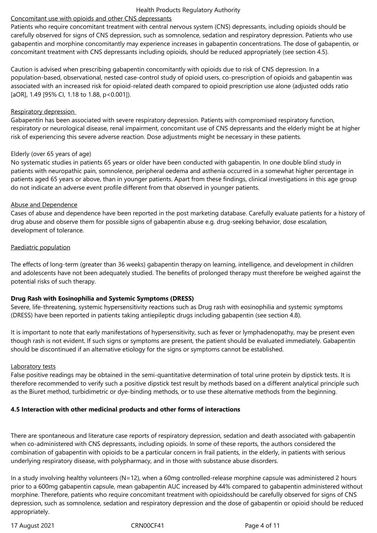## Concomitant use with opioids and other CNS depressants

Patients who require concomitant treatment with central nervous system (CNS) depressants, including opioids should be carefully observed for signs of CNS depression, such as somnolence, sedation and respiratory depression. Patients who use gabapentin and morphine concomitantly may experience increases in gabapentin concentrations. The dose of gabapentin, or concomitant treatment with CNS depressants including opioids, should be reduced appropriately (see section 4.5).

Caution is advised when prescribing gabapentin concomitantly with opioids due to risk of CNS depression. In a population-based, observational, nested case-control study of opioid users, co‑prescription of opioids and gabapentin was associated with an increased risk for opioid-related death compared to opioid prescription use alone (adjusted odds ratio [aOR], 1.49 [95% Cl, 1.18 to 1.88, p < 0.001]).

## Respiratory depression

Gabapentin has been associated with severe respiratory depression. Patients with compromised respiratory function, respiratory or neurological disease, renal impairment, concomitant use of CNS depressants and the elderly might be at higher risk of experiencing this severe adverse reaction. Dose adjustments might be necessary in these patients.

## Elderly (over 65 years of age)

No systematic studies in patients 65 years or older have been conducted with gabapentin. In one double blind study in patients with neuropathic pain, somnolence, peripheral oedema and asthenia occurred in a somewhat higher percentage in patients aged 65 years or above, than in younger patients. Apart from these findings, clinical investigations in this age group do not indicate an adverse event profile different from that observed in younger patients.

## Abuse and Dependence

Cases of abuse and dependence have been reported in the post marketing database. Carefully evaluate patients for a history of drug abuse and observe them for possible signs of gabapentin abuse e.g. drug-seeking behavior, dose escalation, development of tolerance.

## Paediatric population

The effects of long-term (greater than 36 weeks) gabapentin therapy on learning, intelligence, and development in children and adolescents have not been adequately studied. The benefits of prolonged therapy must therefore be weighed against the potential risks of such therapy.

## **Drug Rash with Eosinophilia and Systemic Symptoms (DRESS)**

Severe, life-threatening, systemic hypersensitivity reactions such as Drug rash with eosinophilia and systemic symptoms (DRESS) have been reported in patients taking antiepileptic drugs including gabapentin (see section 4.8).

It is important to note that early manifestations of hypersensitivity, such as fever or lymphadenopathy, may be present even though rash is not evident. If such signs or symptoms are present, the patient should be evaluated immediately. Gabapentin should be discontinued if an alternative etiology for the signs or symptoms cannot be established.

## Laboratory tests

False positive readings may be obtained in the semi-quantitative determination of total urine protein by dipstick tests. It is therefore recommended to verify such a positive dipstick test result by methods based on a different analytical principle such as the Biuret method, turbidimetric or dye-binding methods, or to use these alternative methods from the beginning.

## **4.5 Interaction with other medicinal products and other forms of interactions**

There are spontaneous and literature case reports of respiratory depression, sedation and death associated with gabapentin when co-administered with CNS depressants, including opioids. In some of these reports, the authors considered the combination of gabapentin with opioids to be a particular concern in frail patients, in the elderly, in patients with serious underlying respiratory disease, with polypharmacy, and in those with substance abuse disorders.

In a study involving healthy volunteers (N=12), when a 60mg controlled-release morphine capsule was administered 2 hours prior to a 600mg gabapentin capsule, mean gabapentin AUC increased by 44% compared to gabapentin administered without morphine. Therefore, patients who require concomitant treatment with opioidsshould be carefully observed for signs of CNS depression, such as somnolence, sedation and respiratory depression and the dose of gabapentin or opioid should be reduced appropriately.

17 August 2021 **CRN00CF41** CRN00CF41 Page 4 of 11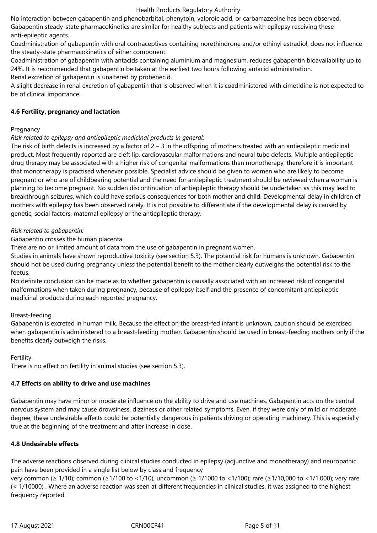No interaction between gabapentin and phenobarbital, phenytoin, valproic acid, or carbamazepine has been observed. Gabapentin steady-state pharmacokinetics are similar for healthy subjects and patients with epilepsy receiving these anti-epileptic agents.

Coadministration of gabapentin with oral contraceptives containing norethindrone and/or ethinyl estradiol, does not influence the steady-state pharmacokinetics of either component.

Coadministration of gabapentin with antacids containing aluminium and magnesium, reduces gabapentin bioavailability up to 24%. It is recommended that gabapentin be taken at the earliest two hours following antacid administration.

Renal excretion of gabapentin is unaltered by probenecid.

A slight decrease in renal excretion of gabapentin that is observed when it is coadministered with cimetidine is not expected to be of clinical importance.

## **4.6 Fertility, pregnancy and lactation**

## Pregnancy

## *Risk related to epilepsy and antiepileptic medicinal products in general:*

The risk of birth defects is increased by a factor of  $2 - 3$  in the offspring of mothers treated with an antiepileptic medicinal product. Most frequently reported are cleft lip, cardiovascular malformations and neural tube defects. Multiple antiepileptic drug therapy may be associated with a higher risk of congenital malformations than monotherapy, therefore it is important that monotherapy is practised whenever possible. Specialist advice should be given to women who are likely to become pregnant or who are of childbearing potential and the need for antiepileptic treatment should be reviewed when a woman is planning to become pregnant. No sudden discontinuation of antiepileptic therapy should be undertaken as this may lead to breakthrough seizures, which could have serious consequences for both mother and child. Developmental delay in children of mothers with epilepsy has been observed rarely. It is not possible to differentiate if the developmental delay is caused by genetic, social factors, maternal epilepsy or the antiepileptic therapy.

## *Risk related to gabapentin:*

Gabapentin crosses the human placenta.

There are no or limited amount of data from the use of gabapentin in pregnant women.

Studies in animals have shown reproductive toxicity (see section 5.3). The potential risk for humans is unknown. Gabapentin should not be used during pregnancy unless the potential benefit to the mother clearly outweighs the potential risk to the foetus.

No definite conclusion can be made as to whether gabapentin is causally associated with an increased risk of congenital malformations when taken during pregnancy, because of epilepsy itself and the presence of concomitant antiepileptic medicinal products during each reported pregnancy.

## Breast-feeding

Gabapentin is excreted in human milk. Because the effect on the breast-fed infant is unknown, caution should be exercised when gabapentin is administered to a breast-feeding mother. Gabapentin should be used in breast-feeding mothers only if the benefits clearly outweigh the risks.

## **Fertility**

There is no effect on fertility in animal studies (see section 5.3).

## **4.7 Effects on ability to drive and use machines**

Gabapentin may have minor or moderate influence on the ability to drive and use machines. Gabapentin acts on the central nervous system and may cause drowsiness, dizziness or other related symptoms. Even, if they were only of mild or moderate degree, these undesirable effects could be potentially dangerous in patients driving or operating machinery. This is especially true at the beginning of the treatment and after increase in dose.

## **4.8 Undesirable effects**

The adverse reactions observed during clinical studies conducted in epilepsy (adjunctive and monotherapy) and neuropathic pain have been provided in a single list below by class and frequency

very common (≥ 1/10); common (≥1/100 to <1/10), uncommon (≥ 1/1000 to <1/100); rare (≥1/10,000 to <1/1,000); very rare (< 1/10000) . Where an adverse reaction was seen at different frequencies in clinical studies, it was assigned to the highest frequency reported.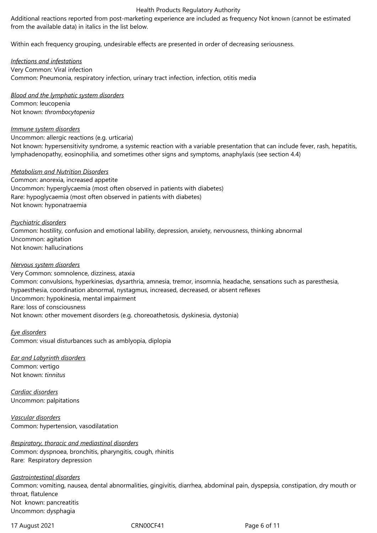Additional reactions reported from post-marketing experience are included as frequency Not known (cannot be estimated from the available data) in italics in the list below.

Within each frequency grouping, undesirable effects are presented in order of decreasing seriousness.

*Infections and infestations* Very Common: Viral infection Common: Pneumonia, respiratory infection, urinary tract infection, infection, otitis media

*Blood and the lymphatic system disorders* Common: leucopenia Not known: *thrombocytopenia* 

#### *Immune system disorders*

Uncommon: allergic reactions (e.g. urticaria)

Not known: hypersensitivity syndrome, a systemic reaction with a variable presentation that can include fever, rash, hepatitis, lymphadenopathy, eosinophilia, and sometimes other signs and symptoms, anaphylaxis (see section 4.4)

#### *Metabolism and Nutrition Disorders*

Common: anorexia, increased appetite Uncommon: hyperglycaemia (most often observed in patients with diabetes) Rare: hypoglycaemia (most often observed in patients with diabetes) Not known: hyponatraemia

*Psychiatric disorders*

Common: hostility, confusion and emotional lability, depression, anxiety, nervousness, thinking abnormal Uncommon: agitation Not known: hallucinations

#### *Nervous system disorders*

Very Common: somnolence, dizziness, ataxia Common: convulsions, hyperkinesias, dysarthria, amnesia, tremor, insomnia, headache, sensations such as paresthesia, hypaesthesia, coordination abnormal, nystagmus, increased, decreased, or absent reflexes Uncommon: hypokinesia, mental impairment Rare: loss of consciousness Not known: other movement disorders (e.g. choreoathetosis, dyskinesia, dystonia)

*Eye disorders*

Common: visual disturbances such as amblyopia, diplopia

*Ear and Labyrinth disorders* Common: vertigo

Not known: *tinnitus* 

*Cardiac disorders* Uncommon: palpitations

*Vascular disorders* Common: hypertension, vasodilatation

*Respiratory, thoracic and mediastinal disorders* Common: dyspnoea, bronchitis, pharyngitis, cough, rhinitis Rare: Respiratory depression

*Gastrointestinal disorders* Common: vomiting, nausea, dental abnormalities, gingivitis, diarrhea, abdominal pain, dyspepsia, constipation, dry mouth or throat, flatulence Not known: pancreatitis Uncommon: dysphagia

17 August 2021 **CRN00CF41** CRN00CF41 **Page 6 of 11**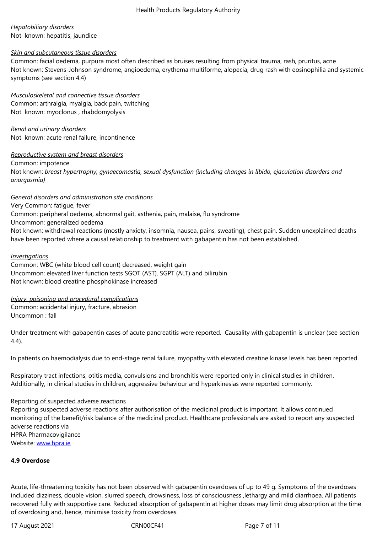#### Not known: hepatitis, jaundice

#### *Skin and subcutaneous tissue disorders*

Common: facial oedema, purpura most often described as bruises resulting from physical trauma, rash, pruritus, acne Not known: Stevens-Johnson syndrome, angioedema, erythema multiforme, alopecia, drug rash with eosinophilia and systemic symptoms (see section 4.4)

*Musculoskeletal and connective tissue disorders*

Common: arthralgia, myalgia, back pain, twitching Not known: myoclonus , rhabdomyolysis

*Renal and urinary disorders* Not known: acute renal failure, incontinence

## *Reproductive system and breast disorders*

Common: impotence

Not known: *breast hypertrophy, gynaecomastia, sexual dysfunction (including changes in libido, ejaculation disorders and anorgasmia)*

## *General disorders and administration site conditions*

Very Common: fatigue, fever Common: peripheral oedema, abnormal gait, asthenia, pain, malaise, flu syndrome Uncommon: generalized oedema Not known: withdrawal reactions (mostly anxiety, insomnia, nausea, pains, sweating), chest pain. Sudden unexplained deaths have been reported where a causal relationship to treatment with gabapentin has not been established*.*

#### *Investigations*

Common: WBC (white blood cell count) decreased, weight gain Uncommon: elevated liver function tests SGOT (AST), SGPT (ALT) and bilirubin Not known: blood creatine phosphokinase increased

#### *Injury, poisoning and procedural complications* Common: accidental injury, fracture, abrasion Uncommon : fall

Under treatment with gabapentin cases of acute pancreatitis were reported. Causality with gabapentin is unclear (see section 4.4).

In patients on haemodialysis due to end-stage renal failure, myopathy with elevated creatine kinase levels has been reported

Respiratory tract infections, otitis media, convulsions and bronchitis were reported only in clinical studies in children. Additionally, in clinical studies in children, aggressive behaviour and hyperkinesias were reported commonly.

#### Reporting of suspected adverse reactions

Reporting suspected adverse reactions after authorisation of the medicinal product is important. It allows continued monitoring of the benefit/risk balance of the medicinal product. Healthcare professionals are asked to report any suspected adverse reactions via HPRA Pharmacovigilance Website: www.hpra.ie

## **4.9 Overdose**

Acute, life-threatening toxicity has not been observed with gabapentin overdoses of up to 49 g. Symptoms of the overdoses included dizziness, double vision, slurred speech, drowsiness, loss of consciousness ,lethargy and mild diarrhoea. All patients recovered fully with supportive care. Reduced absorption of gabapentin at higher doses may limit drug absorption at the time of overdosing and, hence, minimise toxicity from overdoses.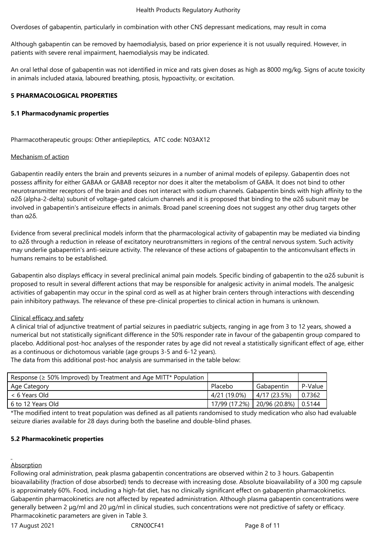Overdoses of gabapentin, particularly in combination with other CNS depressant medications, may result in coma

Although gabapentin can be removed by haemodialysis, based on prior experience it is not usually required. However, in patients with severe renal impairment, haemodialysis may be indicated.

An oral lethal dose of gabapentin was not identified in mice and rats given doses as high as 8000 mg/kg. Signs of acute toxicity in animals included ataxia, laboured breathing, ptosis, hypoactivity, or excitation.

#### **5 PHARMACOLOGICAL PROPERTIES**

#### **5.1 Pharmacodynamic properties**

Pharmacotherapeutic groups: Other antiepileptics, ATC code: N03AX12

#### Mechanism of action

Gabapentin readily enters the brain and prevents seizures in a number of animal models of epilepsy. Gabapentin does not possess affinity for either GABAA or GABAB receptor nor does it alter the metabolism of GABA. It does not bind to other neurotransmitter receptors of the brain and does not interact with sodium channels. Gabapentin binds with high affinity to the α2δ (alpha-2-delta) subunit of voltage-gated calcium channels and it is proposed that binding to the α2δ subunit may be involved in gabapentin's antiseizure effects in animals. Broad panel screening does not suggest any other drug targets other than α2δ.

Evidence from several preclinical models inform that the pharmacological activity of gabapentin may be mediated via binding to  $α2δ$  through a reduction in release of excitatory neurotransmitters in regions of the central nervous system. Such activity may underlie gabapentin's anti-seizure activity. The relevance of these actions of gabapentin to the anticonvulsant effects in humans remains to be established.

Gabapentin also displays efficacy in several preclinical animal pain models. Specific binding of gabapentin to the α2δ subunit is proposed to result in several different actions that may be responsible for analgesic activity in animal models. The analgesic activities of gabapentin may occur in the spinal cord as well as at higher brain centers through interactions with descending pain inhibitory pathways. The relevance of these pre-clinical properties to clinical action in humans is unknown.

#### Clinical efficacy and safety

A clinical trial of adjunctive treatment of partial seizures in paediatric subjects, ranging in age from 3 to 12 years, showed a numerical but not statistically significant difference in the 50% responder rate in favour of the gabapentin group compared to placebo. Additional post-hoc analyses of the responder rates by age did not reveal a statistically significant effect of age, either as a continuous or dichotomous variable (age groups 3-5 and 6-12 years).

The data from this additional post-hoc analysis are summarised in the table below:

| Response ( $\geq$ 50% Improved) by Treatment and Age MITT* Population |               |                        |         |
|-----------------------------------------------------------------------|---------------|------------------------|---------|
| Age Category                                                          | Placebo       | Gabapentin             | P-Value |
| < 6 Years Old                                                         | 4/21 (19.0%)  | 4/17 (23.5%)           | 0.7362  |
| 6 to 12 Years Old                                                     | 17/99 (17.2%) | 20/96 (20.8%)   0.5144 |         |

\*The modified intent to treat population was defined as all patients randomised to study medication who also had evaluable seizure diaries available for 28 days during both the baseline and double-blind phases.

#### **5.2 Pharmacokinetic properties**

#### Absorption

Following oral administration, peak plasma gabapentin concentrations are observed within 2 to 3 hours. Gabapentin bioavailability (fraction of dose absorbed) tends to decrease with increasing dose. Absolute bioavailability of a 300 mg capsule is approximately 60%. Food, including a high-fat diet, has no clinically significant effect on gabapentin pharmacokinetics. Gabapentin pharmacokinetics are not affected by repeated administration. Although plasma gabapentin concentrations were generally between 2 μg/ml and 20 μg/ml in clinical studies, such concentrations were not predictive of safety or efficacy. Pharmacokinetic parameters are given in Table 3.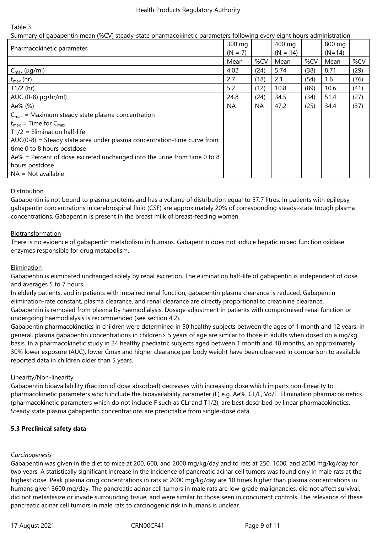Table 3

| Summary of gabapentin mean (%CV) steady-state pharmacokinetic parameters following every eight hours administration |           |           |            |      |          |      |
|---------------------------------------------------------------------------------------------------------------------|-----------|-----------|------------|------|----------|------|
| Pharmacokinetic parameter                                                                                           |           |           | 400 mg     |      | 800 mg   |      |
|                                                                                                                     | $(N = 7)$ |           | $(N = 14)$ |      | $(N=14)$ |      |
|                                                                                                                     | Mean      | %CV       | Mean       | %CV  | Mean     | %CV  |
| $C_{\text{max}}$ (µg/ml)                                                                                            | 4.02      | (24)      | 5.74       | (38) | 8.71     | (29) |
| $t_{\text{max}}$ (hr)                                                                                               | 2.7       | (18)      | 2.1        | (54) | 1.6      | (76) |
| $T1/2$ (hr)                                                                                                         | 5.2       | (12)      | 10.8       | (89) | 10.6     | (41) |
| AUC $(0-8) \mu q \cdot hr/ml$                                                                                       | 24.8      | (24)      | 34.5       | (34) | 51.4     | (27) |
| Ae% (%)                                                                                                             | <b>NA</b> | <b>NA</b> | 47.2       | (25) | 34.4     | (37) |
| $C_{\text{max}}$ = Maximum steady state plasma concentration                                                        |           |           |            |      |          |      |
| $t_{max}$ = Time for $C_{max}$                                                                                      |           |           |            |      |          |      |
| $T1/2$ = Elimination half-life                                                                                      |           |           |            |      |          |      |
| $AUC(0-8)$ = Steady state area under plasma concentration-time curve from                                           |           |           |            |      |          |      |
| time 0 to 8 hours postdose                                                                                          |           |           |            |      |          |      |
| Ae% = Percent of dose excreted unchanged into the urine from time 0 to 8                                            |           |           |            |      |          |      |
| hours postdose                                                                                                      |           |           |            |      |          |      |
| $NA = Not available$                                                                                                |           |           |            |      |          |      |

## **Distribution**

Gabapentin is not bound to plasma proteins and has a volume of distribution equal to 57.7 litres. In patients with epilepsy, gabapentin concentrations in cerebrospinal fluid (CSF) are approximately 20% of corresponding steady-state trough plasma concentrations. Gabapentin is present in the breast milk of breast-feeding women.

## Biotransformation

There is no evidence of gabapentin metabolism in humans. Gabapentin does not induce hepatic mixed function oxidase enzymes responsible for drug metabolism.

## Elimination

Gabapentin is eliminated unchanged solely by renal excretion. The elimination half-life of gabapentin is independent of dose and averages 5 to 7 hours.

In elderly patients, and in patients with impaired renal function, gabapentin plasma clearance is reduced. Gabapentin elimination-rate constant, plasma clearance, and renal clearance are directly proportional to creatinine clearance. Gabapentin is removed from plasma by haemodialysis. Dosage adjustment in patients with compromised renal function or undergoing haemodialysis is recommended (see section 4.2).

Gabapentin pharmacokinetics in children were determined in 50 healthy subjects between the ages of 1 month and 12 years. In general, plasma gabapentin concentrations in children> 5 years of age are similar to those in adults when dosed on a mg/kg basis. In a pharmacokinetic study in 24 healthy paediatric subjects aged between 1 month and 48 months, an approximately 30% lower exposure (AUC), lower Cmax and higher clearance per body weight have been observed in comparison to available reported data in children older than 5 years.

#### Linearity/Non-linearity

Gabapentin bioavailability (fraction of dose absorbed) decreases with increasing dose which imparts non-linearity to pharmacokinetic parameters which include the bioavailability parameter (F) e.g. Ae%, CL/F, Vd/F. Elimination pharmacokinetics (pharmacokinetic parameters which do not include F such as CLr and T1/2), are best described by linear pharmacokinetics. Steady state plasma gabapentin concentrations are predictable from single-dose data.

#### **5.3 Preclinical safety data**

#### *Carcinogenesis*

Gabapentin was given in the diet to mice at 200, 600, and 2000 mg/kg/day and to rats at 250, 1000, and 2000 mg/kg/day for two years. A statistically significant increase in the incidence of pancreatic acinar cell tumors was found only in male rats at the highest dose. Peak plasma drug concentrations in rats at 2000 mg/kg/day are 10 times higher than plasma concentrations in humans given 3600 mg/day. The pancreatic acinar cell tumors in male rats are low-grade malignancies, did not affect survival, did not metastasize or invade surrounding tissue, and were similar to those seen in concurrent controls. The relevance of these pancreatic acinar cell tumors in male rats to carcinogenic risk in humans is unclear.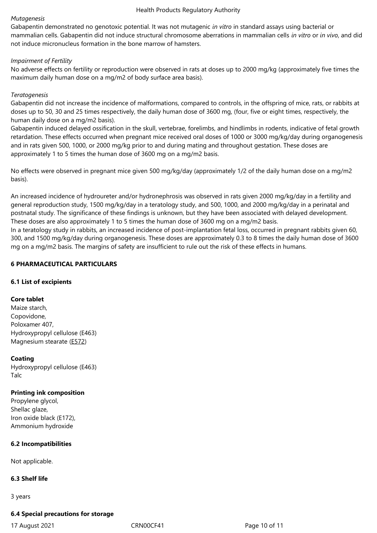mammalian cells. Gabapentin did not induce structural chromosome aberrations in mammalian cells *in vitro* or *in vivo*, and did not induce micronucleus formation in the bone marrow of hamsters.

## *Impairment of Fertility*

No adverse effects on fertility or reproduction were observed in rats at doses up to 2000 mg/kg (approximately five times the maximum daily human dose on a mg/m2 of body surface area basis).

## *Teratogenesis*

Gabapentin did not increase the incidence of malformations, compared to controls, in the offspring of mice, rats, or rabbits at doses up to 50, 30 and 25 times respectively, the daily human dose of 3600 mg, (four, five or eight times, respectively, the human daily dose on a mg/m2 basis).

Gabapentin induced delayed ossification in the skull, vertebrae, forelimbs, and hindlimbs in rodents, indicative of fetal growth retardation. These effects occurred when pregnant mice received oral doses of 1000 or 3000 mg/kg/day during organogenesis and in rats given 500, 1000, or 2000 mg/kg prior to and during mating and throughout gestation. These doses are approximately 1 to 5 times the human dose of 3600 mg on a mg/m2 basis.

No effects were observed in pregnant mice given 500 mg/kg/day (approximately 1/2 of the daily human dose on a mg/m2 basis).

An increased incidence of hydroureter and/or hydronephrosis was observed in rats given 2000 mg/kg/day in a fertility and general reproduction study, 1500 mg/kg/day in a teratology study, and 500, 1000, and 2000 mg/kg/day in a perinatal and postnatal study. The significance of these findings is unknown, but they have been associated with delayed development. These doses are also approximately 1 to 5 times the human dose of 3600 mg on a mg/m2 basis.

In a teratology study in rabbits, an increased incidence of post-implantation fetal loss, occurred in pregnant rabbits given 60, 300, and 1500 mg/kg/day during organogenesis. These doses are approximately 0.3 to 8 times the daily human dose of 3600 mg on a mg/m2 basis. The margins of safety are insufficient to rule out the risk of these effects in humans.

## **6 PHARMACEUTICAL PARTICULARS**

#### **6.1 List of excipients**

#### **Core tablet**

Maize starch, Copovidone, Poloxamer 407, Hydroxypropyl cellulose (E463) Magnesium stearate (E572)

#### **Coating**

Hydroxypropyl cellul[ose \(E4](http://en.wikipedia.org/wiki/E572)63) Talc

## **Printing ink composition**

Propylene glycol, Shellac glaze, Iron oxide black (E172), Ammonium hydroxide

## **6.2 Incompatibilities**

Not applicable.

## **6.3 Shelf life**

3 years

#### **6.4 Special precautions for storage**

17 August 2021 CRN00CF41 Page 10 of 11